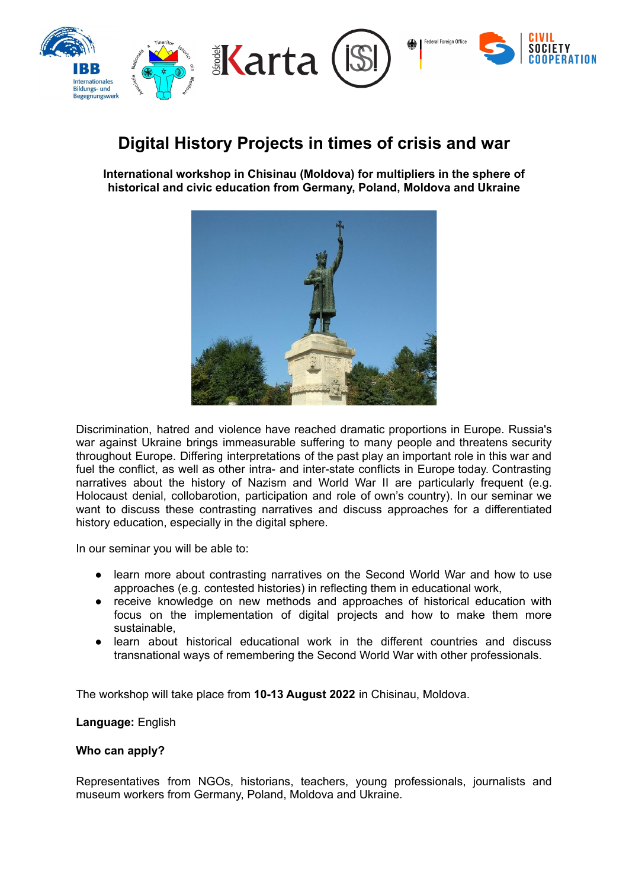

# **Digital History Projects in times of crisis and war**

**International workshop in Chisinau (Moldova) for multipliers in the sphere of historical and civic education from Germany, Poland, Moldova and Ukraine**



Discrimination, hatred and violence have reached dramatic proportions in Europe. Russia's war against Ukraine brings immeasurable suffering to many people and threatens security throughout Europe. Differing interpretations of the past play an important role in this war and fuel the conflict, as well as other intra- and inter-state conflicts in Europe today. Contrasting narratives about the history of Nazism and World War II are particularly frequent (e.g. Holocaust denial, collobarotion, participation and role of own's country). In our seminar we want to discuss these contrasting narratives and discuss approaches for a differentiated history education, especially in the digital sphere.

In our seminar you will be able to:

- learn more about contrasting narratives on the Second World War and how to use approaches (e.g. contested histories) in reflecting them in educational work,
- receive knowledge on new methods and approaches of historical education with focus on the implementation of digital projects and how to make them more sustainable,
- learn about historical educational work in the different countries and discuss transnational ways of remembering the Second World War with other professionals.

The workshop will take place from **10-13 August 2022** in Chisinau, Moldova.

## **Language:** English

## **Who can apply?**

Representatives from NGOs, historians, teachers, young professionals, journalists and museum workers from Germany, Poland, Moldova and Ukraine.